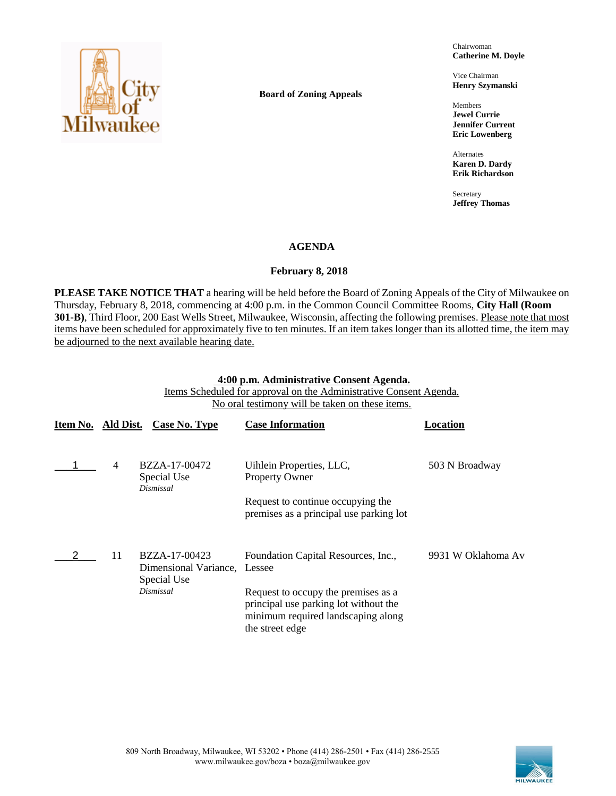

**Board of Zoning Appeals**

Chairwoman **Catherine M. Doyle**

Vice Chairman **Henry Szymanski**

Members **Jewel Currie Jennifer Current Eric Lowenberg**

Alternates **Karen D. Dardy Erik Richardson**

Secretary **Jeffrey Thomas**

# **AGENDA**

# **February 8, 2018**

**PLEASE TAKE NOTICE THAT** a hearing will be held before the Board of Zoning Appeals of the City of Milwaukee on Thursday, February 8, 2018, commencing at 4:00 p.m. in the Common Council Committee Rooms, **City Hall (Room 301-B)**, Third Floor, 200 East Wells Street, Milwaukee, Wisconsin, affecting the following premises. Please note that most items have been scheduled for approximately five to ten minutes. If an item takes longer than its allotted time, the item may be adjourned to the next available hearing date.

### **4:00 p.m. Administrative Consent Agenda.**

Items Scheduled for approval on the Administrative Consent Agenda. No oral testimony will be taken on these items.

| Item No. Ald Dist. |                | Case No. Type                                         | <b>Case Information</b>                                                                                                               | Location           |
|--------------------|----------------|-------------------------------------------------------|---------------------------------------------------------------------------------------------------------------------------------------|--------------------|
|                    | $\overline{4}$ | BZZA-17-00472<br>Special Use<br>Dismissal             | Uihlein Properties, LLC,<br><b>Property Owner</b>                                                                                     | 503 N Broadway     |
|                    |                |                                                       | Request to continue occupying the<br>premises as a principal use parking lot                                                          |                    |
|                    | 11             | BZZA-17-00423<br>Dimensional Variance,<br>Special Use | Foundation Capital Resources, Inc.,<br>Lessee                                                                                         | 9931 W Oklahoma Av |
|                    |                | Dismissal                                             | Request to occupy the premises as a<br>principal use parking lot without the<br>minimum required landscaping along<br>the street edge |                    |

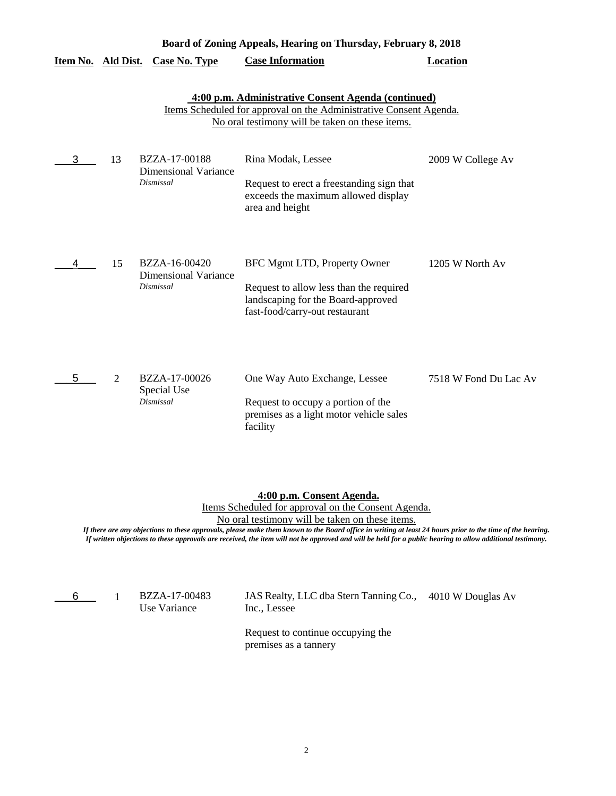| Board of Zoning Appeals, Hearing on Thursday, February 8, 2018 |    |                                                                  |                                                                                                                                                                              |                       |
|----------------------------------------------------------------|----|------------------------------------------------------------------|------------------------------------------------------------------------------------------------------------------------------------------------------------------------------|-----------------------|
| Item No. Ald Dist.                                             |    | <b>Case No. Type</b>                                             | <b>Case Information</b>                                                                                                                                                      | <b>Location</b>       |
|                                                                |    |                                                                  | 4:00 p.m. Administrative Consent Agenda (continued)<br>Items Scheduled for approval on the Administrative Consent Agenda.<br>No oral testimony will be taken on these items. |                       |
| 3                                                              | 13 | BZZA-17-00188<br><b>Dimensional Variance</b><br>Dismissal        | Rina Modak, Lessee<br>Request to erect a freestanding sign that<br>exceeds the maximum allowed display<br>area and height                                                    | 2009 W College Av     |
| 4                                                              | 15 | BZZA-16-00420<br><b>Dimensional Variance</b><br><b>Dismissal</b> | BFC Mgmt LTD, Property Owner<br>Request to allow less than the required<br>landscaping for the Board-approved<br>fast-food/carry-out restaurant                              | 1205 W North Av       |
| 5                                                              | 2  | BZZA-17-00026<br>Special Use<br><b>Dismissal</b>                 | One Way Auto Exchange, Lessee<br>Request to occupy a portion of the<br>premises as a light motor vehicle sales<br>facility                                                   | 7518 W Fond Du Lac Av |

## **4:00 p.m. Consent Agenda.**

Items Scheduled for approval on the Consent Agenda.

No oral testimony will be taken on these items.

*If there are any objections to these approvals, please make them known to the Board office in writing at least 24 hours prior to the time of the hearing. If written objections to these approvals are received, the item will not be approved and will be held for a public hearing to allow additional testimony.*

 $6\qquad 1$ 

Use Variance

BZZA-17-00483 JAS Realty, LLC dba Stern Tanning Co., 4010 W Douglas Av Inc., Lessee

> Request to continue occupying the premises as a tannery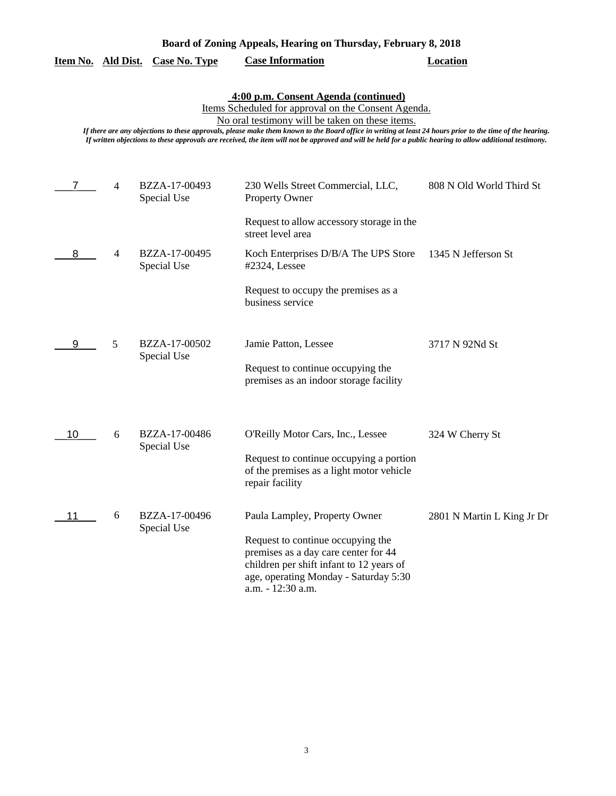|    |                | <u>Item No. Ald Dist. Case No. Type</u> | <b>Case Information</b>                                                                                                                                                                                                                                                                                                                                                                                                                                                  | Location                   |
|----|----------------|-----------------------------------------|--------------------------------------------------------------------------------------------------------------------------------------------------------------------------------------------------------------------------------------------------------------------------------------------------------------------------------------------------------------------------------------------------------------------------------------------------------------------------|----------------------------|
|    |                |                                         | 4:00 p.m. Consent Agenda (continued)<br>Items Scheduled for approval on the Consent Agenda.<br>No oral testimony will be taken on these items.<br>If there are any objections to these approvals, please make them known to the Board office in writing at least 24 hours prior to the time of the hearing.<br>If written objections to these approvals are received, the item will not be approved and will be held for a public hearing to allow additional testimony. |                            |
| 7  | $\overline{4}$ | BZZA-17-00493<br>Special Use            | 230 Wells Street Commercial, LLC,<br><b>Property Owner</b>                                                                                                                                                                                                                                                                                                                                                                                                               | 808 N Old World Third St   |
|    |                |                                         | Request to allow accessory storage in the<br>street level area                                                                                                                                                                                                                                                                                                                                                                                                           |                            |
| 8  | $\overline{4}$ | BZZA-17-00495<br>Special Use            | Koch Enterprises D/B/A The UPS Store<br>#2324, Lessee                                                                                                                                                                                                                                                                                                                                                                                                                    | 1345 N Jefferson St        |
|    |                |                                         | Request to occupy the premises as a<br>business service                                                                                                                                                                                                                                                                                                                                                                                                                  |                            |
| 9  | 5              | BZZA-17-00502<br>Special Use            | Jamie Patton, Lessee<br>Request to continue occupying the<br>premises as an indoor storage facility                                                                                                                                                                                                                                                                                                                                                                      | 3717 N 92Nd St             |
| 10 | 6              | BZZA-17-00486<br>Special Use            | O'Reilly Motor Cars, Inc., Lessee<br>Request to continue occupying a portion<br>of the premises as a light motor vehicle<br>repair facility                                                                                                                                                                                                                                                                                                                              | 324 W Cherry St            |
| 11 | 6              | BZZA-17-00496<br>Special Use            | Paula Lampley, Property Owner<br>Request to continue occupying the<br>premises as a day care center for 44<br>children per shift infant to 12 years of<br>age, operating Monday - Saturday 5:30<br>a.m. - 12:30 a.m.                                                                                                                                                                                                                                                     | 2801 N Martin L King Jr Dr |

**Board of Zoning Appeals, Hearing on Thursday, February 8, 2018**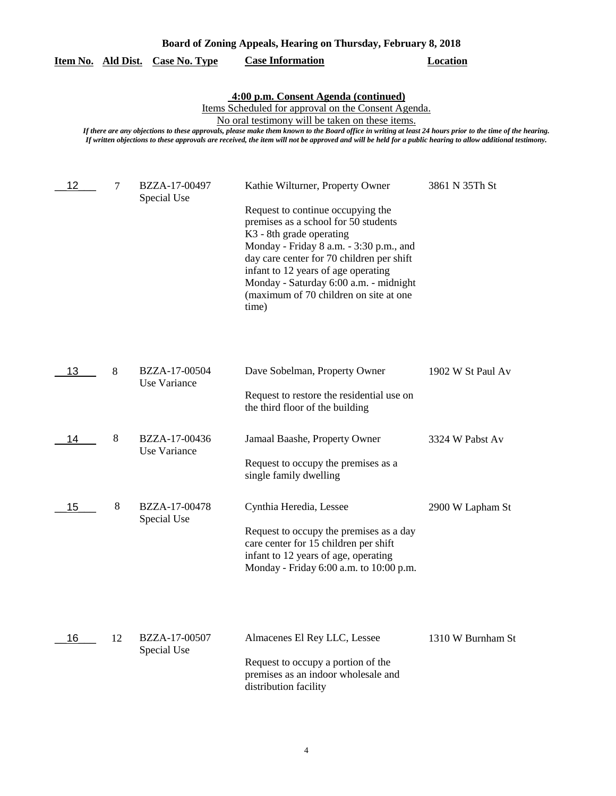|    |    | <u>Item No. Ald Dist. Case No. Type</u> | <b>Case Information</b>                                                                                                                                                                                                                                                                                                                                                                                                                                                  | <b>Location</b>   |
|----|----|-----------------------------------------|--------------------------------------------------------------------------------------------------------------------------------------------------------------------------------------------------------------------------------------------------------------------------------------------------------------------------------------------------------------------------------------------------------------------------------------------------------------------------|-------------------|
|    |    |                                         | 4:00 p.m. Consent Agenda (continued)<br>Items Scheduled for approval on the Consent Agenda.<br>No oral testimony will be taken on these items.<br>If there are any objections to these approvals, please make them known to the Board office in writing at least 24 hours prior to the time of the hearing.<br>If written objections to these approvals are received, the item will not be approved and will be held for a public hearing to allow additional testimony. |                   |
| 12 | 7  | BZZA-17-00497<br>Special Use            | Kathie Wilturner, Property Owner<br>Request to continue occupying the<br>premises as a school for 50 students<br>K <sub>3</sub> - 8th grade operating<br>Monday - Friday 8 a.m. - 3:30 p.m., and<br>day care center for 70 children per shift<br>infant to 12 years of age operating<br>Monday - Saturday 6:00 a.m. - midnight<br>(maximum of 70 children on site at one<br>time)                                                                                        | 3861 N 35Th St    |
| 13 | 8  | BZZA-17-00504<br>Use Variance           | Dave Sobelman, Property Owner<br>Request to restore the residential use on<br>the third floor of the building                                                                                                                                                                                                                                                                                                                                                            | 1902 W St Paul Av |
| 14 | 8  | BZZA-17-00436<br>Use Variance           | Jamaal Baashe, Property Owner<br>Request to occupy the premises as a<br>single family dwelling                                                                                                                                                                                                                                                                                                                                                                           | 3324 W Pabst Av   |
| 15 | 8  | BZZA-17-00478<br>Special Use            | Cynthia Heredia, Lessee<br>Request to occupy the premises as a day<br>care center for 15 children per shift<br>infant to 12 years of age, operating<br>Monday - Friday 6:00 a.m. to 10:00 p.m.                                                                                                                                                                                                                                                                           | 2900 W Lapham St  |
| 16 | 12 | BZZA-17-00507<br>Special Use            | Almacenes El Rey LLC, Lessee<br>Request to occupy a portion of the<br>premises as an indoor wholesale and<br>distribution facility                                                                                                                                                                                                                                                                                                                                       | 1310 W Burnham St |

**Board of Zoning Appeals, Hearing on Thursday, February 8, 2018**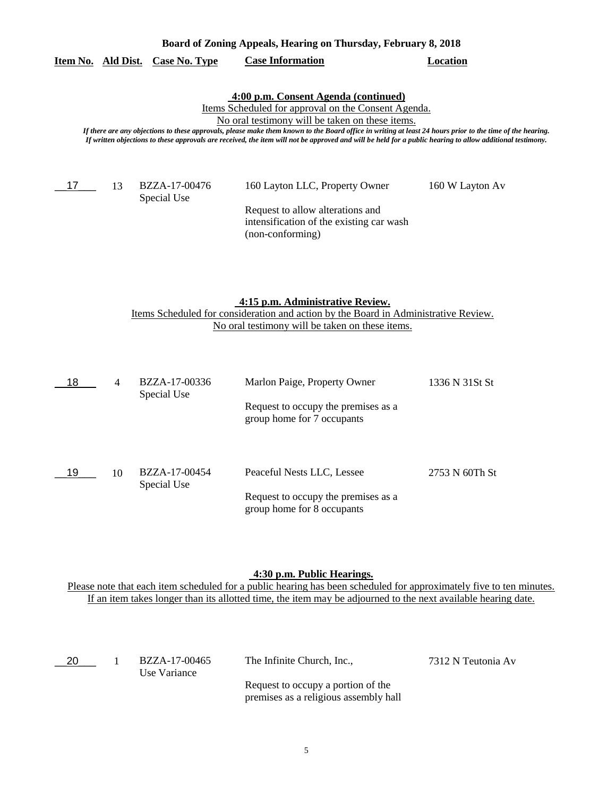## **Item No. Ald Dist. Case No. Type Case Information Location**

## **4:00 p.m. Consent Agenda (continued)**

Items Scheduled for approval on the Consent Agenda.

No oral testimony will be taken on these items.

*If there are any objections to these approvals, please make them known to the Board office in writing at least 24 hours prior to the time of the hearing. If written objections to these approvals are received, the item will not be approved and will be held for a public hearing to allow additional testimony.*

\_\_17\_\_\_ 13

Special Use

BZZA-17-00476 160 Layton LLC, Property Owner 160 W Layton Av

Request to allow alterations and intensification of the existing car wash (non-conforming)

#### **4:15 p.m. Administrative Review.**

Items Scheduled for consideration and action by the Board in Administrative Review. No oral testimony will be taken on these items.

| 18 | 4  | BZZA-17-00336<br>Special Use | Marlon Paige, Property Owner                                      | 1336 N 31St St |
|----|----|------------------------------|-------------------------------------------------------------------|----------------|
|    |    |                              | Request to occupy the premises as a<br>group home for 7 occupants |                |
| 19 | 10 | BZZA-17-00454<br>Special Use | Peaceful Nests LLC, Lessee                                        | 2753 N 60Th St |
|    |    |                              | Request to occupy the premises as a<br>group home for 8 occupants |                |

### **4:30 p.m. Public Hearings.**

Please note that each item scheduled for a public hearing has been scheduled for approximately five to ten minutes. If an item takes longer than its allotted time, the item may be adjourned to the next available hearing date.

| - 20 | BZZA-17-00465<br>Use Variance | The Infinite Church, Inc.,                                                  | 7312 N Teutonia Av |
|------|-------------------------------|-----------------------------------------------------------------------------|--------------------|
|      |                               | Request to occupy a portion of the<br>premises as a religious assembly hall |                    |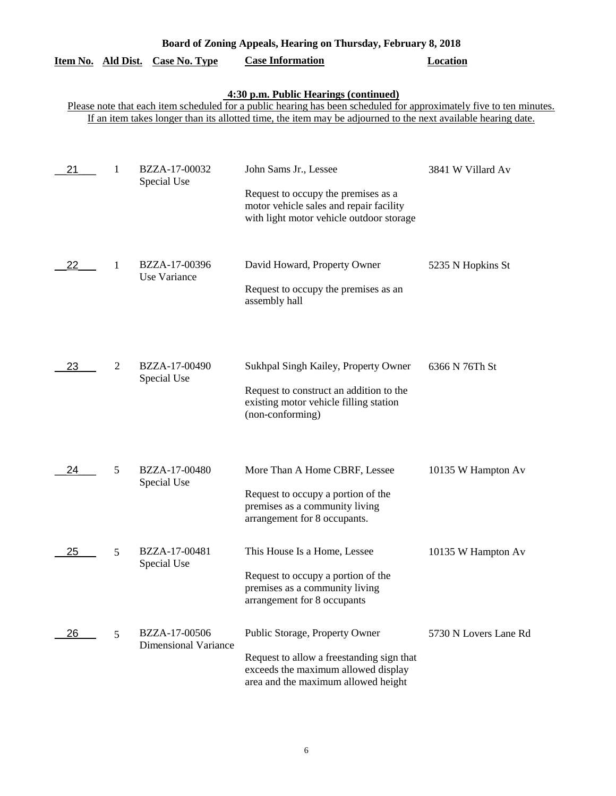| Board of Zoning Appeals, Hearing on Thursday, February 8, 2018 |   |                                              |                                                                                                                                                                                                                                                                               |                       |  |
|----------------------------------------------------------------|---|----------------------------------------------|-------------------------------------------------------------------------------------------------------------------------------------------------------------------------------------------------------------------------------------------------------------------------------|-----------------------|--|
| Item No. Ald Dist.                                             |   | <b>Case No. Type</b>                         | <b>Case Information</b>                                                                                                                                                                                                                                                       | <b>Location</b>       |  |
|                                                                |   |                                              | 4:30 p.m. Public Hearings (continued)<br>Please note that each item scheduled for a public hearing has been scheduled for approximately five to ten minutes.<br>If an item takes longer than its allotted time, the item may be adjourned to the next available hearing date. |                       |  |
| 21                                                             | 1 | BZZA-17-00032<br>Special Use                 | John Sams Jr., Lessee<br>Request to occupy the premises as a<br>motor vehicle sales and repair facility<br>with light motor vehicle outdoor storage                                                                                                                           | 3841 W Villard Av     |  |
| 22                                                             | 1 | BZZA-17-00396<br>Use Variance                | David Howard, Property Owner<br>Request to occupy the premises as an<br>assembly hall                                                                                                                                                                                         | 5235 N Hopkins St     |  |
| 23                                                             | 2 | BZZA-17-00490<br>Special Use                 | Sukhpal Singh Kailey, Property Owner<br>Request to construct an addition to the<br>existing motor vehicle filling station<br>(non-conforming)                                                                                                                                 | 6366 N 76Th St        |  |
| 24                                                             | 5 | BZZA-17-00480<br>Special Use                 | More Than A Home CBRF, Lessee<br>Request to occupy a portion of the<br>premises as a community living<br>arrangement for 8 occupants.                                                                                                                                         | 10135 W Hampton Av    |  |
| 25                                                             | 5 | BZZA-17-00481<br>Special Use                 | This House Is a Home, Lessee<br>Request to occupy a portion of the<br>premises as a community living<br>arrangement for 8 occupants                                                                                                                                           | 10135 W Hampton Av    |  |
| 26                                                             | 5 | BZZA-17-00506<br><b>Dimensional Variance</b> | Public Storage, Property Owner<br>Request to allow a freestanding sign that<br>exceeds the maximum allowed display<br>area and the maximum allowed height                                                                                                                     | 5730 N Lovers Lane Rd |  |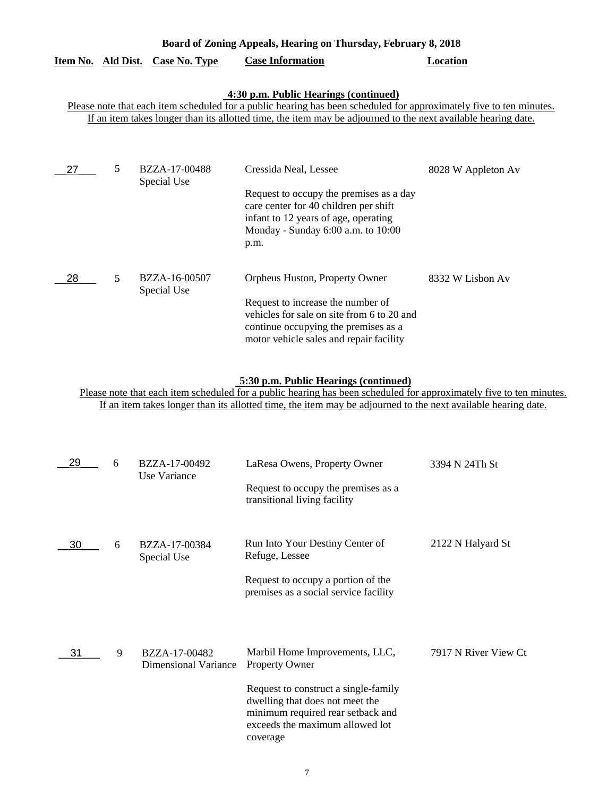| Board of Zoning Appeals, Hearing on Thursday, February 8, 2018 |   |                              |                                                                                                                                                                                                                                                                               |                    |
|----------------------------------------------------------------|---|------------------------------|-------------------------------------------------------------------------------------------------------------------------------------------------------------------------------------------------------------------------------------------------------------------------------|--------------------|
| Item No. Ald Dist.                                             |   | <b>Case No. Type</b>         | <b>Case Information</b>                                                                                                                                                                                                                                                       | Location           |
|                                                                |   |                              | 4:30 p.m. Public Hearings (continued)<br>Please note that each item scheduled for a public hearing has been scheduled for approximately five to ten minutes.<br>If an item takes longer than its allotted time, the item may be adjourned to the next available hearing date. |                    |
| 27                                                             | 5 | BZZA-17-00488<br>Special Use | Cressida Neal, Lessee<br>Request to occupy the premises as a day<br>care center for 40 children per shift<br>infant to 12 years of age, operating<br>Monday - Sunday 6:00 a.m. to 10:00<br>p.m.                                                                               | 8028 W Appleton Av |
| 28                                                             | 5 | BZZA-16-00507<br>Special Use | Orpheus Huston, Property Owner<br>Request to increase the number of<br>vehicles for sale on site from 6 to 20 and<br>continue occupying the premises as a<br>motor vehicle sales and repair facility                                                                          | 8332 W Lisbon Av   |

## **5:30 p.m. Public Hearings (continued)**

Please note that each item scheduled for a public hearing has been scheduled for approximately five to ten minutes. If an item takes longer than its allotted time, the item may be adjourned to the next available hearing date.

| 29 | 6 | BZZA-17-00492<br>Use Variance                | LaResa Owens, Property Owner<br>Request to occupy the premises as a<br>transitional living facility                                                                                                                    | 3394 N 24Th St       |
|----|---|----------------------------------------------|------------------------------------------------------------------------------------------------------------------------------------------------------------------------------------------------------------------------|----------------------|
| 30 | 6 | BZZA-17-00384<br>Special Use                 | Run Into Your Destiny Center of<br>Refuge, Lessee<br>Request to occupy a portion of the<br>premises as a social service facility                                                                                       | 2122 N Halyard St    |
| 31 | 9 | BZZA-17-00482<br><b>Dimensional Variance</b> | Marbil Home Improvements, LLC,<br><b>Property Owner</b><br>Request to construct a single-family<br>dwelling that does not meet the<br>minimum required rear setback and<br>exceeds the maximum allowed lot<br>coverage | 7917 N River View Ct |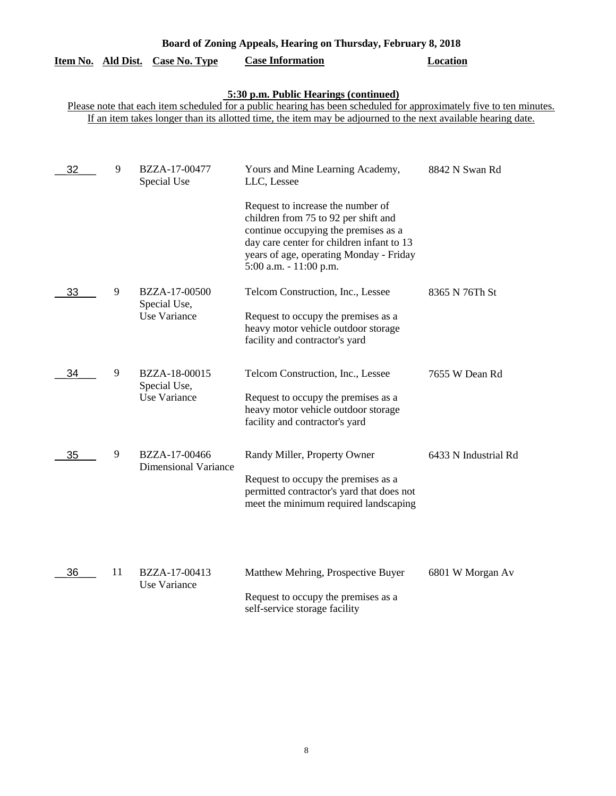| Board of Zoning Appeals, Hearing on Thursday, February 8, 2018 |                                                                                                                                                                                                                                                                               |                                                      |                                                                                                                                                                                                                                     |                      |  |  |  |
|----------------------------------------------------------------|-------------------------------------------------------------------------------------------------------------------------------------------------------------------------------------------------------------------------------------------------------------------------------|------------------------------------------------------|-------------------------------------------------------------------------------------------------------------------------------------------------------------------------------------------------------------------------------------|----------------------|--|--|--|
| Item No. Ald Dist.                                             |                                                                                                                                                                                                                                                                               | <b>Case No. Type</b>                                 | <b>Case Information</b>                                                                                                                                                                                                             | <b>Location</b>      |  |  |  |
|                                                                | 5:30 p.m. Public Hearings (continued)<br>Please note that each item scheduled for a public hearing has been scheduled for approximately five to ten minutes.<br>If an item takes longer than its allotted time, the item may be adjourned to the next available hearing date. |                                                      |                                                                                                                                                                                                                                     |                      |  |  |  |
|                                                                |                                                                                                                                                                                                                                                                               |                                                      |                                                                                                                                                                                                                                     |                      |  |  |  |
| 32                                                             | 9                                                                                                                                                                                                                                                                             | BZZA-17-00477<br>Special Use                         | Yours and Mine Learning Academy,<br>LLC, Lessee                                                                                                                                                                                     | 8842 N Swan Rd       |  |  |  |
|                                                                |                                                                                                                                                                                                                                                                               |                                                      | Request to increase the number of<br>children from 75 to 92 per shift and<br>continue occupying the premises as a<br>day care center for children infant to 13<br>years of age, operating Monday - Friday<br>5:00 a.m. - 11:00 p.m. |                      |  |  |  |
| 33                                                             | 9                                                                                                                                                                                                                                                                             | BZZA-17-00500<br>Special Use,<br>Use Variance        | Telcom Construction, Inc., Lessee<br>Request to occupy the premises as a<br>heavy motor vehicle outdoor storage<br>facility and contractor's yard                                                                                   | 8365 N 76Th St       |  |  |  |
| 34                                                             | 9                                                                                                                                                                                                                                                                             | BZZA-18-00015<br>Special Use,<br><b>Use Variance</b> | Telcom Construction, Inc., Lessee<br>Request to occupy the premises as a<br>heavy motor vehicle outdoor storage<br>facility and contractor's yard                                                                                   | 7655 W Dean Rd       |  |  |  |
| 35                                                             | 9                                                                                                                                                                                                                                                                             | BZZA-17-00466<br><b>Dimensional Variance</b>         | Randy Miller, Property Owner<br>Request to occupy the premises as a<br>permitted contractor's yard that does not<br>meet the minimum required landscaping                                                                           | 6433 N Industrial Rd |  |  |  |
| 36                                                             | 11                                                                                                                                                                                                                                                                            | BZZA-17-00413<br>Use Variance                        | Matthew Mehring, Prospective Buyer<br>Request to occupy the premises as a<br>self-service storage facility                                                                                                                          | 6801 W Morgan Av     |  |  |  |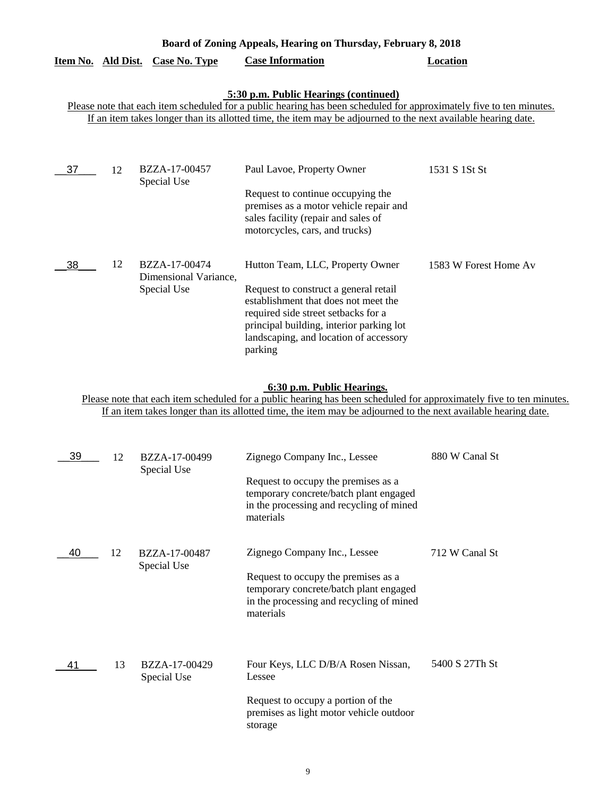| Board of Zoning Appeals, Hearing on Thursday, February 8, 2018                                                                                                                                                                                                                |    |                                                       |                                                                                                                                                                                                                                                           |                       |  |
|-------------------------------------------------------------------------------------------------------------------------------------------------------------------------------------------------------------------------------------------------------------------------------|----|-------------------------------------------------------|-----------------------------------------------------------------------------------------------------------------------------------------------------------------------------------------------------------------------------------------------------------|-----------------------|--|
| <u>Item No. Ald Dist.</u>                                                                                                                                                                                                                                                     |    | <b>Case No. Type</b>                                  | <b>Case Information</b>                                                                                                                                                                                                                                   | <b>Location</b>       |  |
| 5:30 p.m. Public Hearings (continued)<br>Please note that each item scheduled for a public hearing has been scheduled for approximately five to ten minutes.<br>If an item takes longer than its allotted time, the item may be adjourned to the next available hearing date. |    |                                                       |                                                                                                                                                                                                                                                           |                       |  |
| 37                                                                                                                                                                                                                                                                            | 12 | BZZA-17-00457<br>Special Use                          | Paul Lavoe, Property Owner<br>Request to continue occupying the<br>premises as a motor vehicle repair and<br>sales facility (repair and sales of<br>motorcycles, cars, and trucks)                                                                        | 1531 S 1St St         |  |
| 38                                                                                                                                                                                                                                                                            | 12 | BZZA-17-00474<br>Dimensional Variance,<br>Special Use | Hutton Team, LLC, Property Owner<br>Request to construct a general retail<br>establishment that does not meet the<br>required side street setbacks for a<br>principal building, interior parking lot<br>landscaping, and location of accessory<br>parking | 1583 W Forest Home Av |  |

## **6:30 p.m. Public Hearings.**

Please note that each item scheduled for a public hearing has been scheduled for approximately five to ten minutes. If an item takes longer than its allotted time, the item may be adjourned to the next available hearing date.

| 39 | 12 | BZZA-17-00499<br>Special Use | Zignego Company Inc., Lessee<br>Request to occupy the premises as a<br>temporary concrete/batch plant engaged<br>in the processing and recycling of mined<br>materials | 880 W Canal St |
|----|----|------------------------------|------------------------------------------------------------------------------------------------------------------------------------------------------------------------|----------------|
| 40 | 12 | BZZA-17-00487<br>Special Use | Zignego Company Inc., Lessee<br>Request to occupy the premises as a<br>temporary concrete/batch plant engaged<br>in the processing and recycling of mined<br>materials | 712 W Canal St |
| 41 | 13 | BZZA-17-00429<br>Special Use | Four Keys, LLC D/B/A Rosen Nissan,<br>Lessee<br>Request to occupy a portion of the<br>premises as light motor vehicle outdoor<br>storage                               | 5400 S 27Th St |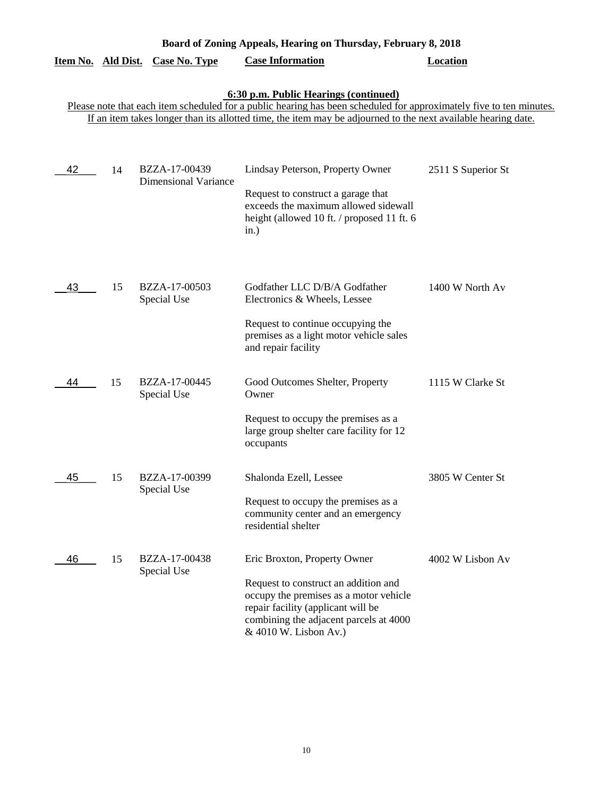| Board of Zoning Appeals, Hearing on Thursday, February 8, 2018 |    |                                              |                                                                                                                                                                                                                                                                               |                    |
|----------------------------------------------------------------|----|----------------------------------------------|-------------------------------------------------------------------------------------------------------------------------------------------------------------------------------------------------------------------------------------------------------------------------------|--------------------|
| Item No. Ald Dist.                                             |    | <b>Case No. Type</b>                         | <b>Case Information</b>                                                                                                                                                                                                                                                       | <b>Location</b>    |
|                                                                |    |                                              | 6:30 p.m. Public Hearings (continued)<br>Please note that each item scheduled for a public hearing has been scheduled for approximately five to ten minutes.<br>If an item takes longer than its allotted time, the item may be adjourned to the next available hearing date. |                    |
| 42                                                             | 14 | BZZA-17-00439<br><b>Dimensional Variance</b> | Lindsay Peterson, Property Owner<br>Request to construct a garage that<br>exceeds the maximum allowed sidewall<br>height (allowed 10 ft. / proposed 11 ft. 6<br>in.)                                                                                                          | 2511 S Superior St |
| 43                                                             | 15 | BZZA-17-00503<br>Special Use                 | Godfather LLC D/B/A Godfather<br>Electronics & Wheels, Lessee<br>Request to continue occupying the<br>premises as a light motor vehicle sales<br>and repair facility                                                                                                          | 1400 W North Av    |
| 44                                                             | 15 | BZZA-17-00445<br>Special Use                 | Good Outcomes Shelter, Property<br>Owner<br>Request to occupy the premises as a<br>large group shelter care facility for 12<br>occupants                                                                                                                                      | 1115 W Clarke St   |
| 45                                                             | 15 | BZZA-17-00399<br>Special Use                 | Shalonda Ezell, Lessee<br>Request to occupy the premises as a<br>community center and an emergency<br>residential shelter                                                                                                                                                     | 3805 W Center St   |
| 46                                                             | 15 | BZZA-17-00438<br>Special Use                 | Eric Broxton, Property Owner<br>Request to construct an addition and<br>occupy the premises as a motor vehicle<br>repair facility (applicant will be<br>combining the adjacent parcels at 4000<br>& 4010 W. Lisbon Av.)                                                       | 4002 W Lisbon Av   |